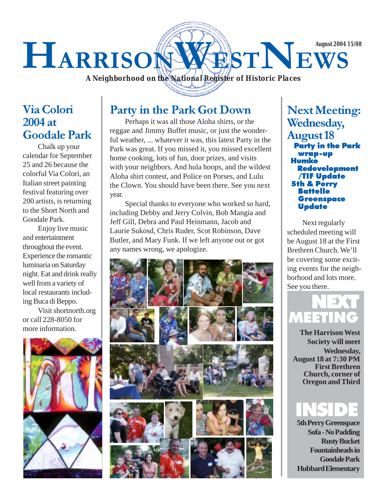## HARRISONWESTNEWS **August 2004 15/08**

*A Neighborhood on the National Register of Historic Places*

#### Via Colori 2004 at Goodale Park

Chalk up your calendar for September 25 and 26 because the colorful Via Colori, an Italian street painting festival featuring over 200 artists, is returning to the Short North and Goodale Park.

Enjoy live music and entertainment throughout the event. Experience the romantic luminaria on Saturday night. Eat and drink really well from a variety of local restaurants including Buca di Beppo.

Visit shortnorth.org or call 228-8050 for more information.



#### Party in the Park Got Down

Perhaps it was all those Aloha shirts, or the reggae and Jimmy Buffet music, or just the wonderful weather, ... whatever it was, this latest Party in the Park was great. If you missed it, you missed excellent home cooking, lots of fun, door prizes, and visits with your neighbors. And hula hoops, and the wildest Aloha shirt contest, and Police on Porses, and Lulu the Clown. You should have been there. See you next year.

Special thanks to everyone who worked so hard, including Debby and Jerry Colvin, Bob Mangia and Jeff Gill, Debra and Paul Heinmann, Jacob and Laurie Sukosd, Chris Ruder, Scot Robinson, Dave Butler, and Mary Funk. If we left anyone out or got any names wrong, we apologize.



Next Meeting: Wednesday, August 18 Party in the Park wrap-up Humko Redevelopment /TIF Update 5th & Perry Battelle Greenspace **Update** 

Next regularly scheduled meeting will be August 18 at the First Brethren Church. We'll be covering some exciting events for the neighborhood and lots more. See you there.



**The Harrison West Society will meet Wednesday, August 18 at 7:30 PM First Brethren Church, corner of Oregon and Third**

## INSIDE

**5th Perry Greenspace Sofa - No Padding Rusty Bucket Fountainheads in Goodale Park Hubbard Elementary**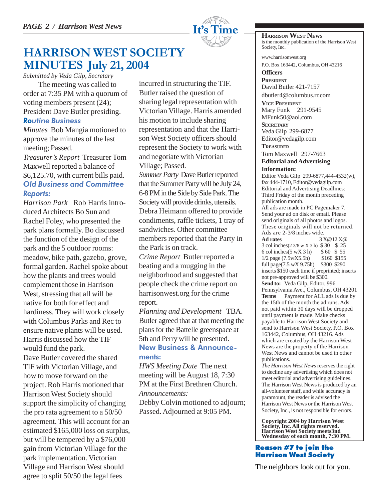

#### HARRISON WEST SOCIETY MINUTES July 21, 2004

*Submitted by Veda Gilp, Secretary*

The meeting was called to order at 7:35 PM with a quorum of voting members present (24); President Dave Butler presiding. Routine Business

*Minutes* Bob Mangia motioned to approve the minutes of the last meeting; Passed.

*Treasurer's Report* Treasurer Tom Maxwell reported a balance of \$6,125.70, with current bills paid. Old Business and Committee Reports:

*Harrison Park* Rob Harris introduced Architects Bo Sun and Rachel Foley, who presented the park plans formally. Bo discussed the function of the design of the park and the 5 outdoor rooms: meadow, bike path, gazebo, grove, formal garden. Rachel spoke about how the plants and trees would complement those in Harrison West, stressing that all will be native for both for effect and hardiness. They will work closely with Columbus Parks and Rec to ensure native plants will be used. Harris discussed how the TIF would fund the park. Dave Butler covered the shared TIF with Victorian Village, and how to move forward on the project. Rob Harris motioned that Harrison West Society should support the simplicity of changing the pro rata agreement to a 50/50 agreement. This will account for an estimated \$165,000 loss on surplus, but will be tempered by a \$76,000 gain from Victorian Village for the park implementation. Victorian Village and Harrison West should agree to split 50/50 the legal fees

incurred in structuring the TIF. Butler raised the question of sharing legal representation with Victorian Village. Harris amended his motion to include sharing representation and that the Harrison West Society officers should represent the Society to work with and negotiate with Victorian Village; Passed.

*Summer Party* Dave Butler reported that the Summer Party will be July 24, 6-8 PM in the Side by Side Park. The Society will provide drinks, utensils. Debra Heimann offered to provide condiments, raffle tickets, 1 tray of sandwiches. Other committee members reported that the Party in the Park is on track.

*Crime Report* Butler reported a beating and a mugging in the neighborhood and suggested that people check the crime report on harrisonwest.org for the crime report.

*Planning and Development* TBA. Butler agreed that at that meeting the plans for the Battelle greenspace at 5th and Perry will be presented. New Business & Announcements:

*HWS Meeting Date* The next meeting will be August 18, 7:30 PM at the First Brethren Church. *Announcements:* Debby Colvin motioned to adjourn; Passed. Adjourned at 9:05 PM.

**HARRISON WEST NEWS** is the monthly publication of the Harrison West Society, Inc.

www.harrisonwest.org P.O. Box 163442, Columbus, OH 43216

**Officers PRESIDENT** David Butler 421-7157 dbutler4@columbus.rr.com

**VICE PRESIDENT** Mary Funk 291-9545 MFunk50@aol.com

**SECRETARY** Veda Gilp 299-6877 Editor@vedagilp.com

**TREASURER**

#### Tom Maxwell 297-7663 **Editorial and Advertising Information:**

Editor Veda Gilp 299-6877,444-4532(w), fax 444-1710, Editor@vedagilp.com Editorial and Advertising Deadlines: Third Friday of the month preceding publication month.

All ads are made in PC Pagemaker 7. Send your ad on disk or email. Please send originals of all photos and logos. These originals will not be returned. Ads are  $2-3/8$  inches wide.<br>Ad rates  $3$ 

**Ad rates** 3 X@12 X@ 3 col inches(2 3/8 w X 3 h) \$ 30 \$ 25 6 col inches(5 wX 3 h) \$ 60 \$ 55 1/2 page (7.5wX5.5h) \$160 \$155 full page(7.5 wX 9.75h) \$300 \$290 inserts \$150 each time if preprinted; inserts not pre-approved will be \$300. **Send to:** Veda Gilp, Editor, 996 Pennsylvania Ave., Columbus, OH 43201 **Terms** Payment for ALL ads is due by the 15th of the month the ad runs. Ads not paid within 30 days will be dropped until payment is made. Make checks payable to Harrison West Society and send to Harrison West Society, P.O. Box 163442, Columbus, OH 43216. Ads which are created by the Harrison West News are the property of the Harrison West News and cannot be used in other publications.

*The Harrison West News* reserves the right to decline any advertising which does not meet editorial and advertising guidelines. The Harrison West News is produced by an all-volunteer staff, and while accuracy is paramount, the reader is advised the Harrison West News or the Harrison West Society, Inc., is not responsible for errors.

**Copyright 2004 by Harrison West Society, Inc. All rights reserved. Harrison West Society meets3nd Wednesday of each month, 7:30 PM.**

#### Reason #7 to join the Harrison West Society

The neighbors look out for you.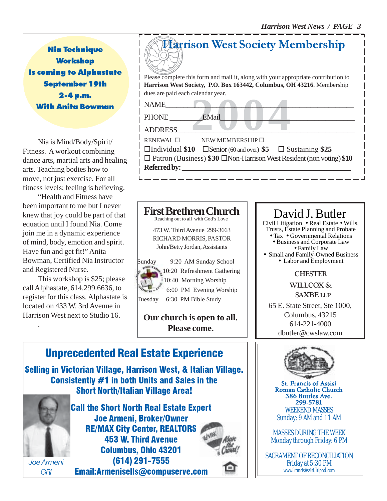Nia Technique **Workshop** Is coming to Alphastate September 19th 2-4 p.m. With Anita Bowman

Nia is Mind/Body/Spirit/ Fitness. A workout combining dance arts, martial arts and healing arts. Teaching bodies how to move, not just exercise. For all fitness levels; feeling is believing.

"Health and Fitness have been important to me but I never knew that joy could be part of that equation until I found Nia. Come join me in a dynamic experience of mind, body, emotion and spirit. Have fun and get fit!" Anita Bowman, Certified Nia Instructor and Registered Nurse.

This workshop is \$25; please call Alphastate, 614.299.6636, to register for this class. Alphastate is located on 433 W. 3rd Avenue in Harrison West next to Studio 16.

.

# Please complete this form and mail it, along with your appropriate contribution to Harrison West Society Membership

**Harrison West Society, P.O. Box 163442, Columbus, OH 43216**. Membership dues are paid each calendar year.

 $NAME$   $\qquad \qquad$ PHONE EMail

ADDRESS\_\_\_\_\_\_\_\_\_\_\_\_\_\_\_\_\_\_\_\_\_\_\_\_\_\_\_\_\_\_\_\_\_\_\_\_\_\_\_\_\_\_\_\_\_\_\_\_\_

EMail Publishers of Dentron Publishers of Dentron Publishers of Dentron Publishers of Dentron Publishers of Dentron Publishers of Dentron Publishers of Dentron Publishers of Dentron Publishers of Dentron Publishers of Dent  $RENEWAL \Box$  NEW MEMBERSHIP  $\Box$ Individual **\$10** Senior (60 and over) **\$5**  Sustaining **\$25** □ Patron (Business) \$30 □Non-Harrison West Resident (non voting) \$10 **Referred by: \_\_\_\_\_\_\_\_\_\_\_\_\_\_\_\_\_\_\_\_\_\_\_\_\_\_\_\_\_\_\_\_\_\_\_\_\_\_\_\_\_\_\_\_\_\_\_\_\_**



473 W. Third Avenue 299-3663 RICHARD MORRIS, PASTOR John/Betty Jordan, Assistants

Sunday 9:20 AM Sunday School 10:20 Refreshment Gathering 10:40 Morning Worship 6:00 PM Evening Worship Tuesday 6:30 PM Bible Study

**Our church is open to all. Please come.**



#### David J. Butler

Civil Litigation • Real Estate • Wills, Trusts, Estate Planning and Probate <br>● Tax ● Governmental Relations • Business and Corporate Law<br>• Family Law • Small and Family-Owned Business • Labor and Employment

**CHESTER** 

WILLCOX & SAXBE LLP

65 E. State Street, Ste 1000, Columbus, 43215 614-221-4000 dbutler@cwslaw.com

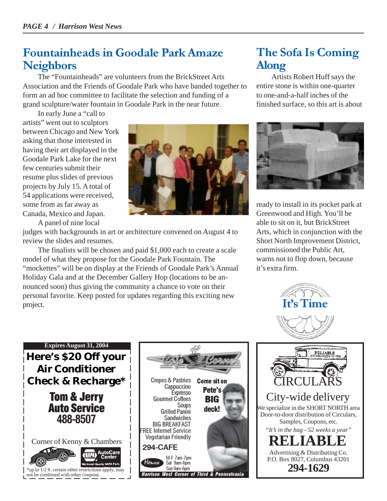#### Fountainheads in Goodale Park Amaze **Neighbors**

The "Fountainheads" are volunteers from the BrickStreet Arts Association and the Friends of Goodale Park who have banded together to form an ad hoc committee to facilitate the selection and funding of a grand sculpture/water fountain in Goodale Park in the near future.

In early June a "call to artists" went out to sculptors between Chicago and New York asking that those interested in having their art displayed in the Goodale Park Lake for the next few centuries submit their resume plus slides of previous projects by July 15. A total of 54 applications were received, some from as far away as Canada, Mexico and Japan.

A panel of nine local



judges with backgrounds in art or architecture convened on August 4 to review the slides and resumes.

The finalists will be chosen and paid \$1,000 each to create a scale model of what they propose for the Goodale Park Fountain. The "mockettes" will be on display at the Friends of Goodale Park's Annual Holiday Gala and at the December Gallery Hop (locations to be announced soon) thus giving the community a chance to vote on their personal favorite. Keep posted for updates regarding this exciting new project.

## The Sofa Is Coming Along

Artists Robert Huff says the entire stone is within one-quarter to one-and-a-half inches of the finished surface, so this art is about



ready to install in its pocket park at Greenwood and High. You'll be able to sit on it, but BrickStreet Arts, which in conjunction with the Short North Improvement District, commissioned the Public Art, warns not to flop down, because it's extra firm.







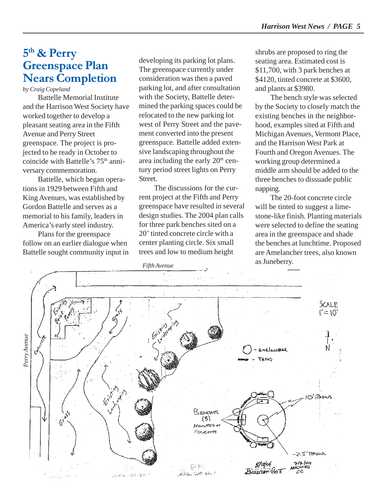#### 5<sup>th</sup> & Perry Greenspace Plan Nears Completion

*by Craig Copeland*

Battelle Memorial Institute and the Harrison West Society have worked together to develop a pleasant seating area in the Fifth Avenue and Perry Street greenspace. The project is projected to be ready in October to coincide with Battelle's 75<sup>th</sup> anniversary commemoration.

Battelle, which began operations in 1929 between Fifth and King Avenues, was established by Gordon Battelle and serves as a memorial to his family, leaders in America's early steel industry.

Plans for the greenspace follow on an earlier dialogue when Battelle sought community input in developing its parking lot plans. The greenspace currently under consideration was then a paved parking lot, and after consultation with the Society, Battelle determined the parking spaces could be relocated to the new parking lot west of Perry Street and the pavement converted into the present greenspace. Battelle added extensive landscaping throughout the area including the early  $20<sup>th</sup>$  century period street lights on Perry Street.

The discussions for the current project at the Fifth and Perry greenspace have resulted in several design studies. The 2004 plan calls for three park benches sited on a 20' tinted concrete circle with a center planting circle. Six small trees and low to medium height

shrubs are proposed to ring the seating area. Estimated cost is \$11,700, with 3 park benches at \$4120, tinted concrete at \$3600, and plants at \$3980.

The bench style was selected by the Society to closely match the existing benches in the neighborhood, examples sited at Fifth and Michigan Avenues, Vermont Place, and the Harrison West Park at Fourth and Oregon Avenues. The working group determined a middle arm should be added to the three benches to dissuade public napping.

The 20-foot concrete circle will be tinted to suggest a limestone-like finish. Planting materials were selected to define the seating area in the greenspace and shade the benches at lunchtime. Proposed are Amelancher trees, also known as Juneberry. *Fifth Avenue*

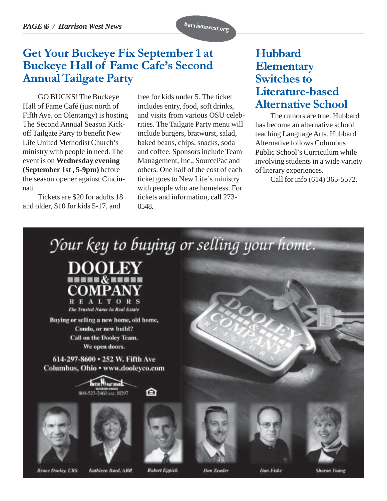### Get Your Buckeye Fix September 1 at Buckeye Hall of Fame Cafe's Second Annual Tailgate Party

GO BUCKS! The Buckeye Hall of Fame Café (just north of Fifth Ave. on Olentangy) is hosting The Second Annual Season Kickoff Tailgate Party to benefit New Life United Methodist Church's ministry with people in need. The event is on **Wednesday evening (September 1st , 5-9pm)** before the season opener against Cincinnati.

Tickets are \$20 for adults 18 and older, \$10 for kids 5-17, and

free for kids under 5. The ticket includes entry, food, soft drinks, and visits from various OSU celebrities. The Tailgate Party menu will include burgers, bratwurst, salad, baked beans, chips, snacks, soda and coffee. Sponsors include Team Management, Inc., SourcePac and others. One half of the cost of each ticket goes to New Life's ministry with people who are homeless. For tickets and information, call 273- 0548.

#### Hubbard **Elementary** Switches to Literature-based Alternative School

The rumors are true. Hubbard has become an alternative school teaching Language Arts. Hubbard Alternative follows Columbus Public School's Curriculum while involving students in a wide variety of literary experiences.

Call for info (614) 365-5572.

Your key to buying or selling your home.



Buying or selling a new home, old home, Condo, or new build? Call on the Dooley Team. We open doors.

614-297-8600 . 252 W. Fifth Ave Columbus, Ohio • www.dooleyco.com









⋒







**Bruce Dooley, CRS** 

Kathleen Burd, ABR

**Robert Eppich** 

**Don Zender** 

Dan Fiske

**Sharow Young**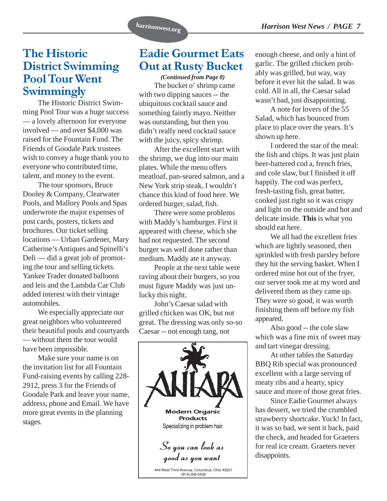#### The Historic District Swimming Pool Tour Went **Swimmingly**

The Historic District Swimming Pool Tour was a huge success — a lovely afternoon for everyone involved — and over \$4,000 was raised for the Fountain Fund. The Friends of Goodale Park trustees wish to convey a huge thank you to everyone who contributed time, talent, and money to the event.

The tour sponsors, Bruce Dooley & Company, Clearwater Pools, and Mallory Pools and Spas underwrote the major expenses of post cards, posters, tickets and brochures. Our ticket selling locations — Urban Gardener, Mary Catherine's Antiques and Spinelli's Deli — did a great job of promoting the tour and selling tickets. Yankee Trader donated balloons and leis and the Lambda Car Club added interest with their vintage automobiles.

We especially appreciate our great neighbors who volunteered their beautiful pools and courtyards — without them the tour would have been impossible.

Make sure your name is on the invitation list for all Fountain Fund-raising events by calling 228- 2912, press 3 for the Friends of Goodale Park and leave your name, address, phone and Email. We have more great events in the planning stages.

#### Eadie Gourmet Eats Out at Rusty Bucket

*(Continued from Page 8)* The bucket o' shrimp came with two dipping sauces -- the ubiquitous cocktail sauce and something faintly mayo. Neither was outstanding, but then you didn't really need cocktail sauce with the juicy, spicy shrimp.

After the excellent start with the shrimp, we dug into our main plates. While the menu offers meatloaf, pan-seared salmon, and a New York strip steak, I wouldn't chance this kind of food here. We ordered burger, salad, fish.

There were some problems with Maddy's hamburger. First it appeared with cheese, which she had not requested. The second burger was well done rather than medium. Maddy ate it anyway.

People at the next table were raving about their burgers, so you must figure Maddy was just unlucky this night.

John's Caesar salad with grilled chicken was OK, but not great. The dressing was only so-so Caesar -- not enough tang, not



enough cheese, and only a hint of garlic. The grilled chicken probably was grilled, but way, way before it ever hit the salad. It was cold. All in all, the Caesar salad wasn't bad, just disappointing.

A note for lovers of the 55 Salad, which has bounced from place to place over the years. It's shown up here.

I ordered the star of the meal: the fish and chips. It was just plain beer-battered cod a, french fries, and cole slaw, but I finished it off happily. The cod was perfect, fresh-tasting fish, great batter, cooked just right so it was crispy and light on the outside and hot and delicate inside. **This** is what you should eat here.

We all had the excellent fries which are lightly seasoned, then sprinkled with fresh parsley before they hit the serving basket. When I ordered mine hot out of the fryer, our server took me at my word and delivered them as they came up. They were so good, it was worth finishing them off before my fish appeared.

Also good -- the cole slaw which was a fine mix of sweet may and tart vinegar dressing.

At other tables the Saturday BBQ Rib special was pronounced excellent with a large serving of meaty ribs and a hearty, spicy sauce and more of those great fries.

Since Eadie Gourmet always has dessert, we tried the crumbled strawberry shortcake. Yuck! In fact, it was so bad, we sent it back, paid the check, and headed for Graeters for real ice cream. Graeters never disappoints.